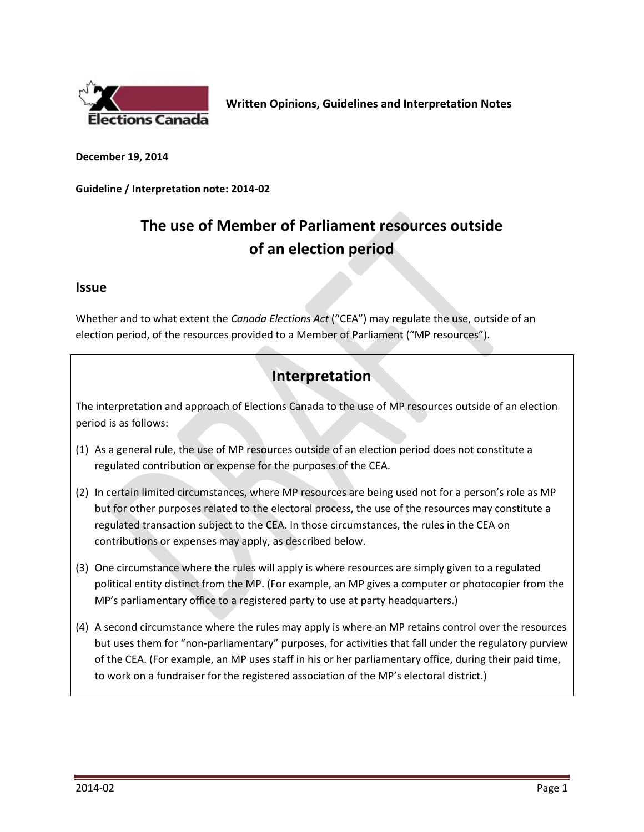

**Written Opinions, Guidelines and Interpretation Notes**

**December 19, 2014**

**Guideline / Interpretation note: 2014-02**

# **The use of Member of Parliament resources outside of an election period**

#### **Issue**

Whether and to what extent the *Canada Elections Act* ("CEA") may regulate the use, outside of an election period, of the resources provided to a Member of Parliament ("MP resources").

## **Interpretation**

The interpretation and approach of Elections Canada to the use of MP resources outside of an election period is as follows:

- (1) As a general rule, the use of MP resources outside of an election period does not constitute a regulated contribution or expense for the purposes of the CEA.
- (2) In certain limited circumstances, where MP resources are being used not for a person's role as MP but for other purposes related to the electoral process, the use of the resources may constitute a regulated transaction subject to the CEA. In those circumstances, the rules in the CEA on contributions or expenses may apply, as described below.
- (3) One circumstance where the rules will apply is where resources are simply given to a regulated political entity distinct from the MP. (For example, an MP gives a computer or photocopier from the MP's parliamentary office to a registered party to use at party headquarters.)
- (4) A second circumstance where the rules may apply is where an MP retains control over the resources but uses them for "non-parliamentary" purposes, for activities that fall under the regulatory purview of the CEA. (For example, an MP uses staff in his or her parliamentary office, during their paid time, to work on a fundraiser for the registered association of the MP's electoral district.)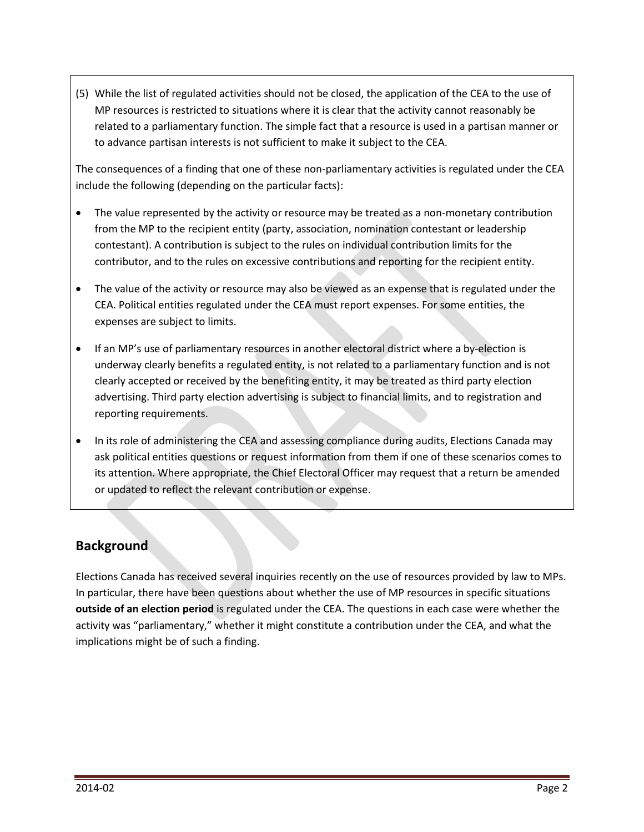(5) While the list of regulated activities should not be closed, the application of the CEA to the use of MP resources is restricted to situations where it is clear that the activity cannot reasonably be related to a parliamentary function. The simple fact that a resource is used in a partisan manner or to advance partisan interests is not sufficient to make it subject to the CEA.

The consequences of a finding that one of these non-parliamentary activities is regulated under the CEA include the following (depending on the particular facts):

- The value represented by the activity or resource may be treated as a non-monetary contribution from the MP to the recipient entity (party, association, nomination contestant or leadership contestant). A contribution is subject to the rules on individual contribution limits for the contributor, and to the rules on excessive contributions and reporting for the recipient entity.
- The value of the activity or resource may also be viewed as an expense that is regulated under the CEA. Political entities regulated under the CEA must report expenses. For some entities, the expenses are subject to limits.
- If an MP's use of parliamentary resources in another electoral district where a by-election is underway clearly benefits a regulated entity, is not related to a parliamentary function and is not clearly accepted or received by the benefiting entity, it may be treated as third party election advertising. Third party election advertising is subject to financial limits, and to registration and reporting requirements.
- In its role of administering the CEA and assessing compliance during audits, Elections Canada may ask political entities questions or request information from them if one of these scenarios comes to its attention. Where appropriate, the Chief Electoral Officer may request that a return be amended or updated to reflect the relevant contribution or expense.

## **Background**

Elections Canada has received several inquiries recently on the use of resources provided by law to MPs. In particular, there have been questions about whether the use of MP resources in specific situations **outside of an election period** is regulated under the CEA. The questions in each case were whether the activity was "parliamentary," whether it might constitute a contribution under the CEA, and what the implications might be of such a finding.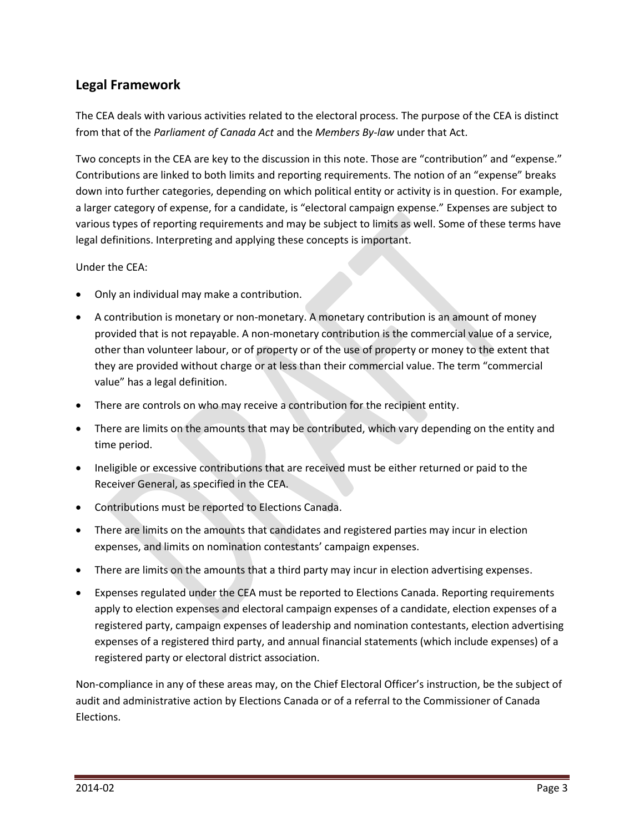### **Legal Framework**

The CEA deals with various activities related to the electoral process. The purpose of the CEA is distinct from that of the *Parliament of Canada Act* and the *Members By-law* under that Act.

Two concepts in the CEA are key to the discussion in this note. Those are "contribution" and "expense." Contributions are linked to both limits and reporting requirements. The notion of an "expense" breaks down into further categories, depending on which political entity or activity is in question. For example, a larger category of expense, for a candidate, is "electoral campaign expense." Expenses are subject to various types of reporting requirements and may be subject to limits as well. Some of these terms have legal definitions. Interpreting and applying these concepts is important.

Under the CEA:

- Only an individual may make a contribution.
- A contribution is monetary or non-monetary. A monetary contribution is an amount of money provided that is not repayable. A non-monetary contribution is the commercial value of a service, other than volunteer labour, or of property or of the use of property or money to the extent that they are provided without charge or at less than their commercial value. The term "commercial value" has a legal definition.
- There are controls on who may receive a contribution for the recipient entity.
- There are limits on the amounts that may be contributed, which vary depending on the entity and time period.
- Ineligible or excessive contributions that are received must be either returned or paid to the Receiver General, as specified in the CEA.
- Contributions must be reported to Elections Canada.
- There are limits on the amounts that candidates and registered parties may incur in election expenses, and limits on nomination contestants' campaign expenses.
- There are limits on the amounts that a third party may incur in election advertising expenses.
- Expenses regulated under the CEA must be reported to Elections Canada. Reporting requirements apply to election expenses and electoral campaign expenses of a candidate, election expenses of a registered party, campaign expenses of leadership and nomination contestants, election advertising expenses of a registered third party, and annual financial statements (which include expenses) of a registered party or electoral district association.

Non-compliance in any of these areas may, on the Chief Electoral Officer's instruction, be the subject of audit and administrative action by Elections Canada or of a referral to the Commissioner of Canada Elections.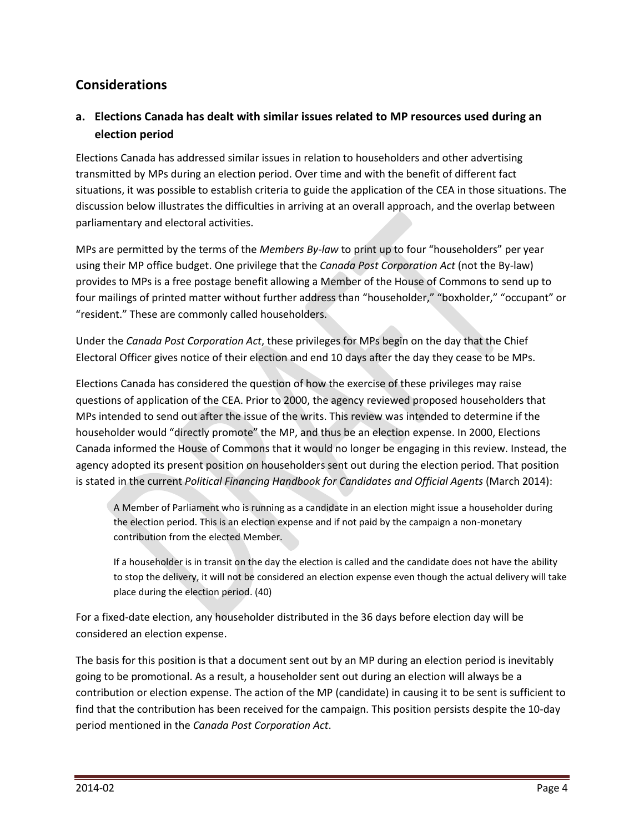### **Considerations**

#### **a. Elections Canada has dealt with similar issues related to MP resources used during an election period**

Elections Canada has addressed similar issues in relation to householders and other advertising transmitted by MPs during an election period. Over time and with the benefit of different fact situations, it was possible to establish criteria to guide the application of the CEA in those situations. The discussion below illustrates the difficulties in arriving at an overall approach, and the overlap between parliamentary and electoral activities.

MPs are permitted by the terms of the *Members By-law* to print up to four "householders" per year using their MP office budget. One privilege that the *Canada Post Corporation Act* (not the By-law) provides to MPs is a free postage benefit allowing a Member of the House of Commons to send up to four mailings of printed matter without further address than "householder," "boxholder," "occupant" or "resident." These are commonly called householders.

Under the *Canada Post Corporation Act*, these privileges for MPs begin on the day that the Chief Electoral Officer gives notice of their election and end 10 days after the day they cease to be MPs.

Elections Canada has considered the question of how the exercise of these privileges may raise questions of application of the CEA. Prior to 2000, the agency reviewed proposed householders that MPs intended to send out after the issue of the writs. This review was intended to determine if the householder would "directly promote" the MP, and thus be an election expense. In 2000, Elections Canada informed the House of Commons that it would no longer be engaging in this review. Instead, the agency adopted its present position on householders sent out during the election period. That position is stated in the current *Political Financing Handbook for Candidates and Official Agents* (March 2014):

A Member of Parliament who is running as a candidate in an election might issue a householder during the election period. This is an election expense and if not paid by the campaign a non-monetary contribution from the elected Member.

If a householder is in transit on the day the election is called and the candidate does not have the ability to stop the delivery, it will not be considered an election expense even though the actual delivery will take place during the election period. (40)

For a fixed-date election, any householder distributed in the 36 days before election day will be considered an election expense.

The basis for this position is that a document sent out by an MP during an election period is inevitably going to be promotional. As a result, a householder sent out during an election will always be a contribution or election expense. The action of the MP (candidate) in causing it to be sent is sufficient to find that the contribution has been received for the campaign. This position persists despite the 10-day period mentioned in the *Canada Post Corporation Act*.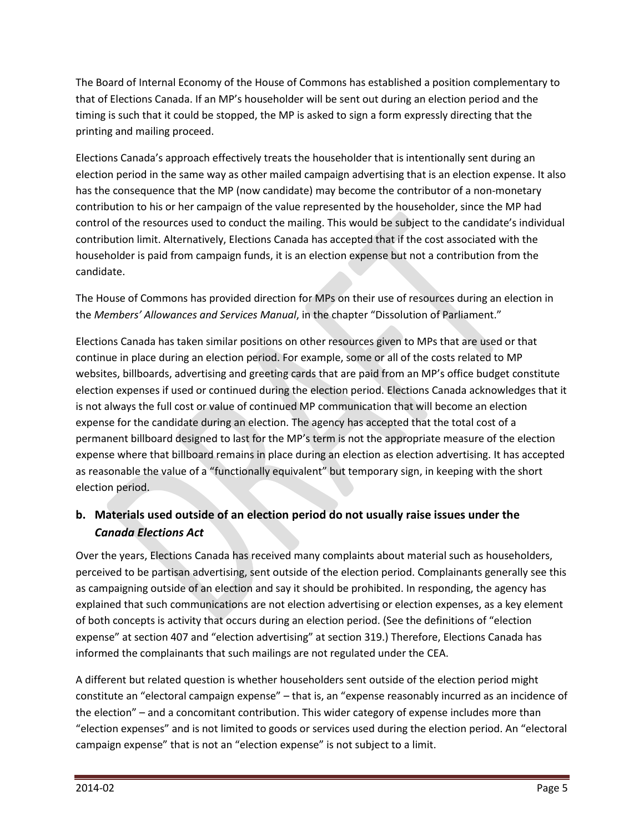The Board of Internal Economy of the House of Commons has established a position complementary to that of Elections Canada. If an MP's householder will be sent out during an election period and the timing is such that it could be stopped, the MP is asked to sign a form expressly directing that the printing and mailing proceed.

Elections Canada's approach effectively treats the householder that is intentionally sent during an election period in the same way as other mailed campaign advertising that is an election expense. It also has the consequence that the MP (now candidate) may become the contributor of a non-monetary contribution to his or her campaign of the value represented by the householder, since the MP had control of the resources used to conduct the mailing. This would be subject to the candidate's individual contribution limit. Alternatively, Elections Canada has accepted that if the cost associated with the householder is paid from campaign funds, it is an election expense but not a contribution from the candidate.

The House of Commons has provided direction for MPs on their use of resources during an election in the *Members' Allowances and Services Manual*, in the chapter "Dissolution of Parliament."

Elections Canada has taken similar positions on other resources given to MPs that are used or that continue in place during an election period. For example, some or all of the costs related to MP websites, billboards, advertising and greeting cards that are paid from an MP's office budget constitute election expenses if used or continued during the election period. Elections Canada acknowledges that it is not always the full cost or value of continued MP communication that will become an election expense for the candidate during an election. The agency has accepted that the total cost of a permanent billboard designed to last for the MP's term is not the appropriate measure of the election expense where that billboard remains in place during an election as election advertising. It has accepted as reasonable the value of a "functionally equivalent" but temporary sign, in keeping with the short election period.

#### **b. Materials used outside of an election period do not usually raise issues under the**  *Canada Elections Act*

Over the years, Elections Canada has received many complaints about material such as householders, perceived to be partisan advertising, sent outside of the election period. Complainants generally see this as campaigning outside of an election and say it should be prohibited. In responding, the agency has explained that such communications are not election advertising or election expenses, as a key element of both concepts is activity that occurs during an election period. (See the definitions of "election expense" at section 407 and "election advertising" at section 319.) Therefore, Elections Canada has informed the complainants that such mailings are not regulated under the CEA.

A different but related question is whether householders sent outside of the election period might constitute an "electoral campaign expense" – that is, an "expense reasonably incurred as an incidence of the election" – and a concomitant contribution. This wider category of expense includes more than "election expenses" and is not limited to goods or services used during the election period. An "electoral campaign expense" that is not an "election expense" is not subject to a limit.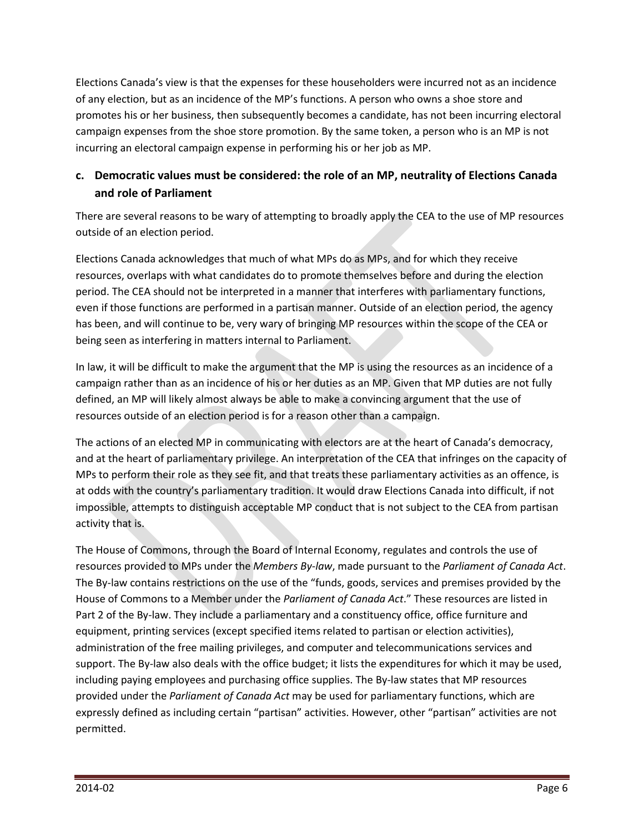Elections Canada's view is that the expenses for these householders were incurred not as an incidence of any election, but as an incidence of the MP's functions. A person who owns a shoe store and promotes his or her business, then subsequently becomes a candidate, has not been incurring electoral campaign expenses from the shoe store promotion. By the same token, a person who is an MP is not incurring an electoral campaign expense in performing his or her job as MP.

#### **c. Democratic values must be considered: the role of an MP, neutrality of Elections Canada and role of Parliament**

There are several reasons to be wary of attempting to broadly apply the CEA to the use of MP resources outside of an election period.

Elections Canada acknowledges that much of what MPs do as MPs, and for which they receive resources, overlaps with what candidates do to promote themselves before and during the election period. The CEA should not be interpreted in a manner that interferes with parliamentary functions, even if those functions are performed in a partisan manner. Outside of an election period, the agency has been, and will continue to be, very wary of bringing MP resources within the scope of the CEA or being seen as interfering in matters internal to Parliament.

In law, it will be difficult to make the argument that the MP is using the resources as an incidence of a campaign rather than as an incidence of his or her duties as an MP. Given that MP duties are not fully defined, an MP will likely almost always be able to make a convincing argument that the use of resources outside of an election period is for a reason other than a campaign.

The actions of an elected MP in communicating with electors are at the heart of Canada's democracy, and at the heart of parliamentary privilege. An interpretation of the CEA that infringes on the capacity of MPs to perform their role as they see fit, and that treats these parliamentary activities as an offence, is at odds with the country's parliamentary tradition. It would draw Elections Canada into difficult, if not impossible, attempts to distinguish acceptable MP conduct that is not subject to the CEA from partisan activity that is.

The House of Commons, through the Board of Internal Economy, regulates and controls the use of resources provided to MPs under the *Members By-law*, made pursuant to the *Parliament of Canada Act*. The By-law contains restrictions on the use of the "funds, goods, services and premises provided by the House of Commons to a Member under the *Parliament of Canada Act*." These resources are listed in Part 2 of the By-law. They include a parliamentary and a constituency office, office furniture and equipment, printing services (except specified items related to partisan or election activities), administration of the free mailing privileges, and computer and telecommunications services and support. The By-law also deals with the office budget; it lists the expenditures for which it may be used, including paying employees and purchasing office supplies. The By-law states that MP resources provided under the *Parliament of Canada Act* may be used for parliamentary functions, which are expressly defined as including certain "partisan" activities. However, other "partisan" activities are not permitted.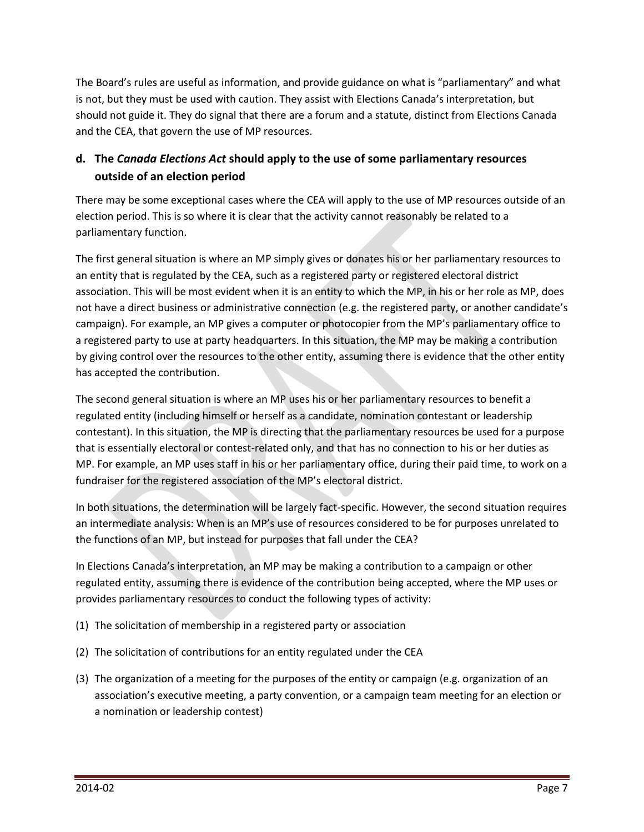The Board's rules are useful as information, and provide guidance on what is "parliamentary" and what is not, but they must be used with caution. They assist with Elections Canada's interpretation, but should not guide it. They do signal that there are a forum and a statute, distinct from Elections Canada and the CEA, that govern the use of MP resources.

#### **d. The** *Canada Elections Act* **should apply to the use of some parliamentary resources outside of an election period**

There may be some exceptional cases where the CEA will apply to the use of MP resources outside of an election period. This is so where it is clear that the activity cannot reasonably be related to a parliamentary function.

The first general situation is where an MP simply gives or donates his or her parliamentary resources to an entity that is regulated by the CEA, such as a registered party or registered electoral district association. This will be most evident when it is an entity to which the MP, in his or her role as MP, does not have a direct business or administrative connection (e.g. the registered party, or another candidate's campaign). For example, an MP gives a computer or photocopier from the MP's parliamentary office to a registered party to use at party headquarters. In this situation, the MP may be making a contribution by giving control over the resources to the other entity, assuming there is evidence that the other entity has accepted the contribution.

The second general situation is where an MP uses his or her parliamentary resources to benefit a regulated entity (including himself or herself as a candidate, nomination contestant or leadership contestant). In this situation, the MP is directing that the parliamentary resources be used for a purpose that is essentially electoral or contest-related only, and that has no connection to his or her duties as MP. For example, an MP uses staff in his or her parliamentary office, during their paid time, to work on a fundraiser for the registered association of the MP's electoral district.

In both situations, the determination will be largely fact-specific. However, the second situation requires an intermediate analysis: When is an MP's use of resources considered to be for purposes unrelated to the functions of an MP, but instead for purposes that fall under the CEA?

In Elections Canada's interpretation, an MP may be making a contribution to a campaign or other regulated entity, assuming there is evidence of the contribution being accepted, where the MP uses or provides parliamentary resources to conduct the following types of activity:

- (1) The solicitation of membership in a registered party or association
- (2) The solicitation of contributions for an entity regulated under the CEA
- (3) The organization of a meeting for the purposes of the entity or campaign (e.g. organization of an association's executive meeting, a party convention, or a campaign team meeting for an election or a nomination or leadership contest)